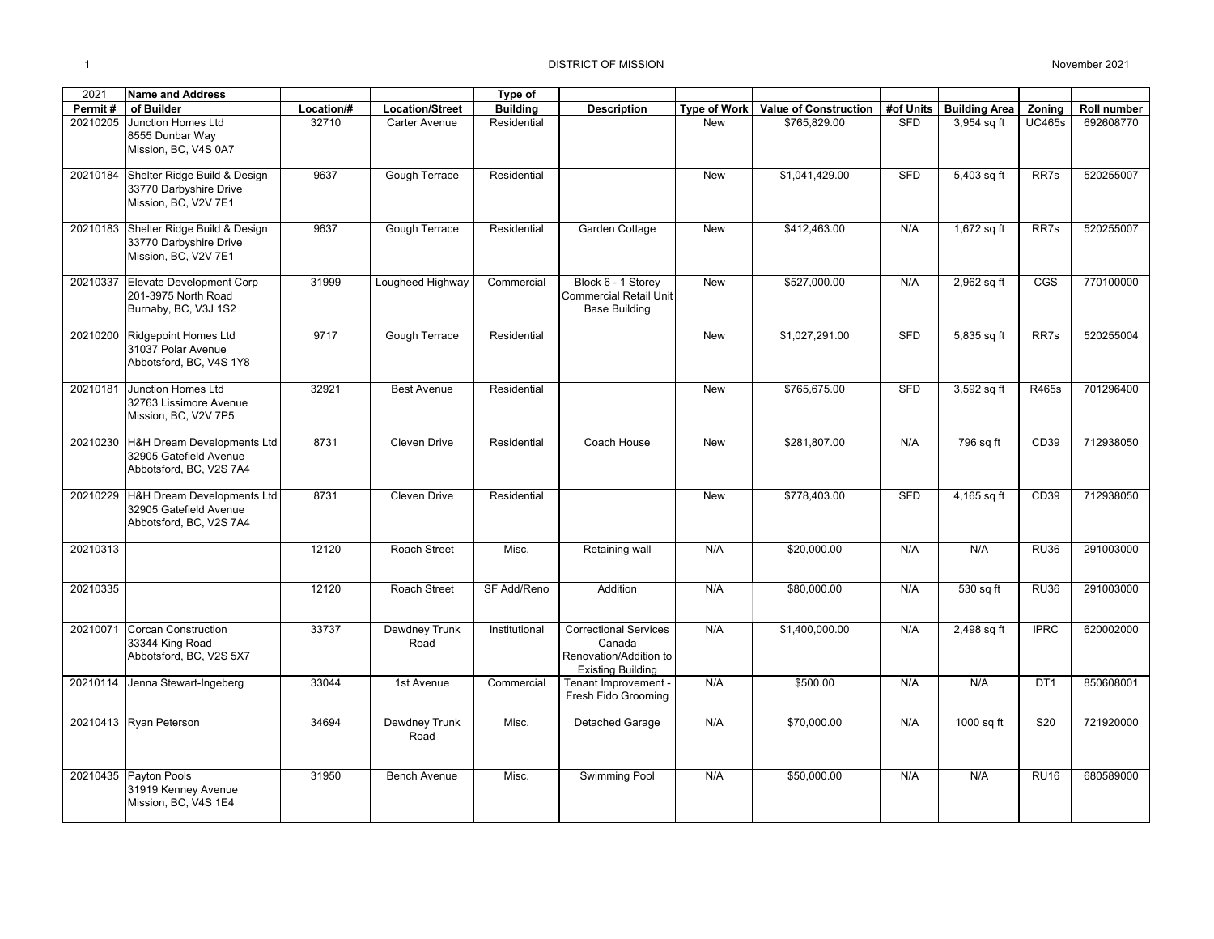| 2021     | <b>Name and Address</b>                                                         |            |                        | Type of         |                                                                                              |                     |                              |            |                      |                  |                    |
|----------|---------------------------------------------------------------------------------|------------|------------------------|-----------------|----------------------------------------------------------------------------------------------|---------------------|------------------------------|------------|----------------------|------------------|--------------------|
| Permit#  | of Builder                                                                      | Location/# | <b>Location/Street</b> | <b>Building</b> | <b>Description</b>                                                                           | <b>Type of Work</b> | <b>Value of Construction</b> | #of Units  | <b>Building Area</b> | Zoning           | <b>Roll number</b> |
| 20210205 | Junction Homes Ltd<br>8555 Dunbar Way<br>Mission, BC, V4S 0A7                   | 32710      | Carter Avenue          | Residential     |                                                                                              | <b>New</b>          | \$765.829.00                 | <b>SFD</b> | 3,954 sq ft          | <b>UC465s</b>    | 692608770          |
| 20210184 | Shelter Ridge Build & Design<br>33770 Darbyshire Drive<br>Mission, BC, V2V 7E1  | 9637       | Gough Terrace          | Residential     |                                                                                              | <b>New</b>          | \$1,041,429.00               | <b>SFD</b> | 5,403 sq ft          | RR7s             | 520255007          |
| 20210183 | Shelter Ridge Build & Design<br>33770 Darbyshire Drive<br>Mission, BC, V2V 7E1  | 9637       | Gough Terrace          | Residential     | Garden Cottage                                                                               | <b>New</b>          | \$412.463.00                 | N/A        | 1,672 sq ft          | RR7s             | 520255007          |
| 20210337 | Elevate Development Corp<br>201-3975 North Road<br>Burnaby, BC, V3J 1S2         | 31999      | Lougheed Highway       | Commercial      | Block 6 - 1 Storey<br><b>Commercial Retail Unit</b><br><b>Base Building</b>                  | New                 | \$527,000.00                 | N/A        | 2,962 sq ft          | CGS              | 770100000          |
| 20210200 | Ridgepoint Homes Ltd<br>31037 Polar Avenue<br>Abbotsford, BC, V4S 1Y8           | 9717       | Gough Terrace          | Residential     |                                                                                              | <b>New</b>          | \$1,027,291.00               | <b>SFD</b> | 5,835 sq ft          | RR7s             | 520255004          |
| 20210181 | Junction Homes Ltd<br>32763 Lissimore Avenue<br>Mission, BC, V2V 7P5            | 32921      | <b>Best Avenue</b>     | Residential     |                                                                                              | <b>New</b>          | \$765.675.00                 | <b>SFD</b> | 3,592 sq ft          | R465s            | 701296400          |
| 20210230 | H&H Dream Developments Ltd<br>32905 Gatefield Avenue<br>Abbotsford, BC, V2S 7A4 | 8731       | Cleven Drive           | Residential     | Coach House                                                                                  | New                 | \$281,807.00                 | N/A        | 796 sq ft            | CD <sub>39</sub> | 712938050          |
| 20210229 | H&H Dream Developments Ltd<br>32905 Gatefield Avenue<br>Abbotsford, BC, V2S 7A4 | 8731       | Cleven Drive           | Residential     |                                                                                              | <b>New</b>          | \$778,403.00                 | <b>SFD</b> | 4,165 sq ft          | CD <sub>39</sub> | 712938050          |
| 20210313 |                                                                                 | 12120      | Roach Street           | Misc.           | Retaining wall                                                                               | N/A                 | \$20,000.00                  | N/A        | N/A                  | <b>RU36</b>      | 291003000          |
| 20210335 |                                                                                 | 12120      | Roach Street           | SF Add/Reno     | Addition                                                                                     | N/A                 | \$80,000.00                  | N/A        | 530 sq ft            | <b>RU36</b>      | 291003000          |
| 20210071 | <b>Corcan Construction</b><br>33344 King Road<br>Abbotsford, BC, V2S 5X7        | 33737      | Dewdney Trunk<br>Road  | Institutional   | <b>Correctional Services</b><br>Canada<br>Renovation/Addition to<br><b>Existing Building</b> | N/A                 | \$1,400,000.00               | N/A        | 2,498 sq ft          | <b>IPRC</b>      | 620002000          |
| 20210114 | Jenna Stewart-Ingeberg                                                          | 33044      | 1st Avenue             | Commercial      | Tenant Improvement -<br>Fresh Fido Grooming                                                  | N/A                 | \$500.00                     | N/A        | N/A                  | DT <sub>1</sub>  | 850608001          |
|          | 20210413 Ryan Peterson                                                          | 34694      | Dewdney Trunk<br>Road  | Misc.           | Detached Garage                                                                              | N/A                 | \$70,000.00                  | N/A        | 1000 sq ft           | S <sub>20</sub>  | 721920000          |
| 20210435 | Payton Pools<br>31919 Kenney Avenue<br>Mission, BC, V4S 1E4                     | 31950      | Bench Avenue           | Misc.           | Swimming Pool                                                                                | N/A                 | \$50,000.00                  | N/A        | N/A                  | <b>RU16</b>      | 680589000          |